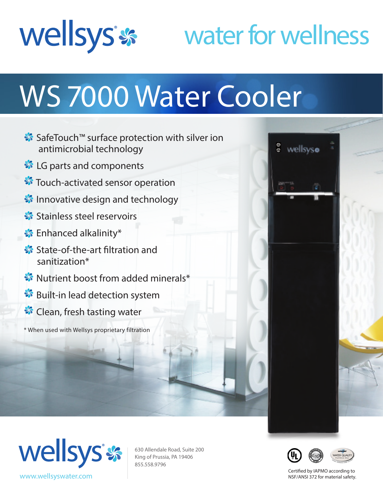

## water for wellness

# WS 7000 Water Cooler

- SafeTouch™ surface protection with silver ion antimicrobial technology
- **S** LG parts and components
- **S** Touch-activated sensor operation
- **Innovative design and technology**
- Stainless steel reservoirs
- **S**: Enhanced alkalinity\*
- State-of-the-art filtration and sanitization\*
- **W** Nutrient boost from added minerals\*
- **S** Built-in lead detection system
- <del></del> Clean, fresh tasting water

\* When used with Wellsys proprietary filtration





630 Allendale Road, Suite 200 King of Prussia, PA 19406 855.558.9796



Certified by IAPMO according to NSF/ANSI 372 for material safety.